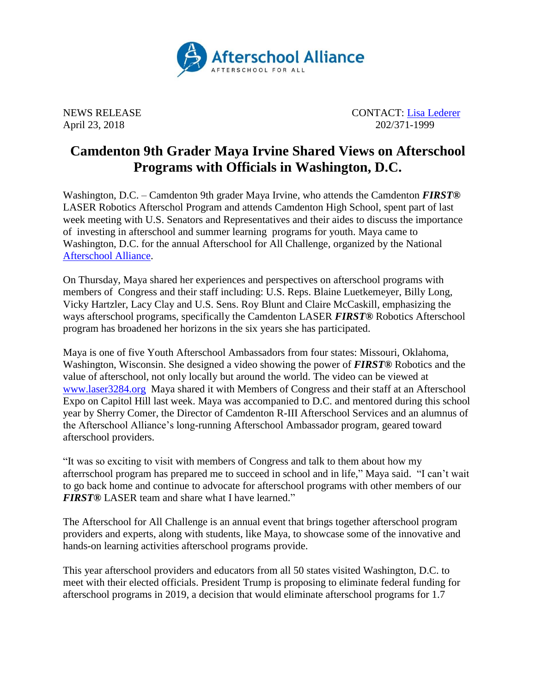

NEWS RELEASE CONTACT: [Lisa Lederer](mailto:lisa@prsolutionsdc.com) April 23, 2018 202/371-1999

## **Camdenton 9th Grader Maya Irvine Shared Views on Afterschool Programs with Officials in Washington, D.C.**

Washington, D.C. – Camdenton 9th grader Maya Irvine, who attends the Camdenton *FIRST®*  LASER Robotics Afterschol Program and attends Camdenton High School, spent part of last week meeting with U.S. Senators and Representatives and their aides to discuss the importance of investing in afterschool and summer learning programs for youth. Maya came to Washington, D.C. for the annual Afterschool for All Challenge, organized by the National [Afterschool Alliance.](http://www.afterschoolalliance.org/)

On Thursday, Maya shared her experiences and perspectives on afterschool programs with members of Congress and their staff including: U.S. Reps. Blaine Luetkemeyer, Billy Long, Vicky Hartzler, Lacy Clay and U.S. Sens. Roy Blunt and Claire McCaskill, emphasizing the ways afterschool programs, specifically the Camdenton LASER *FIRST®* Robotics Afterschool program has broadened her horizons in the six years she has participated.

Maya is one of five Youth Afterschool Ambassadors from four states: Missouri, Oklahoma, Washington, Wisconsin. She designed a video showing the power of *FIRST®* Robotics and the value of afterschool, not only locally but around the world. The video can be viewed at [www.laser3284.org](http://www.laser3284.org/) Maya shared it with Members of Congress and their staff at an Afterschool Expo on Capitol Hill last week. Maya was accompanied to D.C. and mentored during this school year by Sherry Comer, the Director of Camdenton R-III Afterschool Services and an alumnus of the Afterschool Alliance's long-running Afterschool Ambassador program, geared toward afterschool providers.

"It was so exciting to visit with members of Congress and talk to them about how my afterrschool program has prepared me to succeed in school and in life," Maya said. "I can't wait to go back home and continue to advocate for afterschool programs with other members of our *FIRST®* LASER team and share what I have learned."

The Afterschool for All Challenge is an annual event that brings together afterschool program providers and experts, along with students, like Maya, to showcase some of the innovative and hands-on learning activities afterschool programs provide.

This year afterschool providers and educators from all 50 states visited Washington, D.C. to meet with their elected officials. President Trump is proposing to eliminate federal funding for afterschool programs in 2019, a decision that would eliminate afterschool programs for 1.7